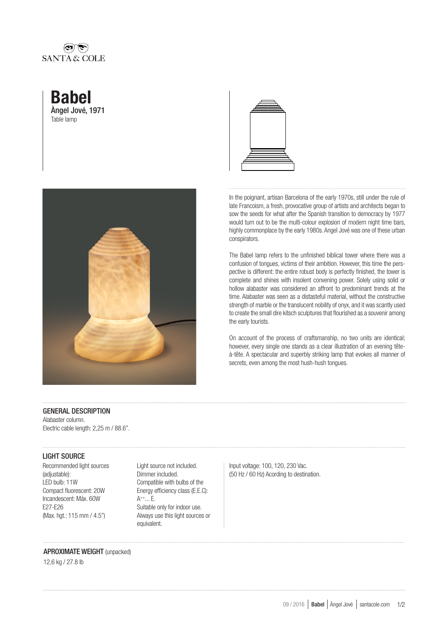## نضارافقا SANTA & COLE







In the poignant, artisan Barcelona of the early 1970s, still under the rule of late Francoism, a fresh, provocative group of artists and architects began to sow the seeds for what after the Spanish transition to democracy by 1977 would turn out to be the multi-colour explosion of modern night time bars, highly commonplace by the early 1980s. Angel Jové was one of these urban conspirators.

The Babel lamp refers to the unfinished biblical tower where there was a confusion of tongues, victims of their ambition. However, this time the perspective is different: the entire robust body is perfectly finished, the tower is complete and shines with insolent convening power. Solely using solid or hollow alabaster was considered an affront to predominant trends at the time. Alabaster was seen as a distasteful material, without the constructive strength of marble or the translucent nobility of onyx, and it was scantly used to create the small dire kitsch sculptures that flourished as a souvenir among the early tourists.

On account of the process of craftsmanship, no two units are identical; however, every single one stands as a clear illustration of an evening têteà-tête. A spectacular and superbly striking lamp that evokes all manner of secrets, even among the most hush-hush tongues.

#### GENERAL DESCRIPTION

Alabaster column. Electric cable length: 2,25 m / 88.6".

### LIGHT SOURCE

Recommended light sources (adjustable): LED bulb: 11W Compact fluorescent: 20W Incandescent: Máx. 60W E27-E26 (Max. hgt.: 115 mm / 4.5")

Light source not included. Dimmer included. Compatible with bulbs of the Energy efficiency class (E.E.C): A++... E. Suitable only for indoor use. Always use this light sources or equivalent.

Input voltage: 100, 120, 230 Vac. (50 Hz / 60 Hz) Acording to destination.

# APROXIMATE WEIGHT (unpacked)

12,6 kg / 27.8 lb